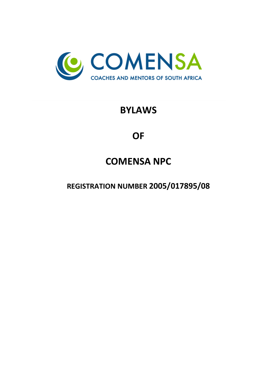

# **BYLAWS**

# **OF**

# **COMENSA NPC**

**REGISTRATION NUMBER 2005/017895/08**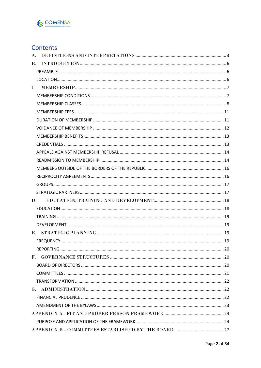

# Contents

| $A_{\cdot}$ |  |
|-------------|--|
| <b>B.</b>   |  |
|             |  |
|             |  |
|             |  |
|             |  |
|             |  |
|             |  |
|             |  |
|             |  |
|             |  |
|             |  |
|             |  |
|             |  |
|             |  |
|             |  |
|             |  |
|             |  |
| D.          |  |
|             |  |
|             |  |
|             |  |
|             |  |
|             |  |
|             |  |
|             |  |
|             |  |
|             |  |
|             |  |
|             |  |
|             |  |
|             |  |
|             |  |
|             |  |
|             |  |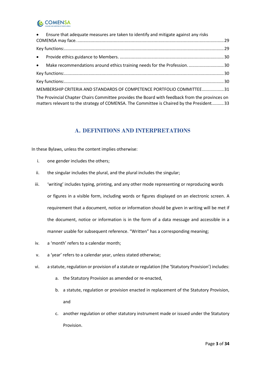# **C** COMENSA

| • Ensure that adequate measures are taken to identify and mitigate against any risks                                                                                                       |  |
|--------------------------------------------------------------------------------------------------------------------------------------------------------------------------------------------|--|
|                                                                                                                                                                                            |  |
|                                                                                                                                                                                            |  |
| • Make recommendations around ethics training needs for the Profession.  30                                                                                                                |  |
|                                                                                                                                                                                            |  |
|                                                                                                                                                                                            |  |
| MEMBERSHIP CRITERIA AND STANDARDS OF COMPETENCE PORTFOLIO COMMITTEE31                                                                                                                      |  |
| The Provincial Chapter Chairs Committee provides the Board with feedback from the provinces on<br>matters relevant to the strategy of COMENSA. The Committee is Chaired by the President33 |  |

### **A. DEFINITIONS AND INTERPRETATIONS**

<span id="page-2-0"></span>In these Bylaws, unless the content implies otherwise:

- i. one gender includes the others;
- ii. the singular includes the plural, and the plural includes the singular;
- iii. 'writing' includes typing, printing, and any other mode representing or reproducing words or figures in a visible form, including words or figures displayed on an electronic screen. A requirement that a document, notice or information should be given in writing will be met if the document, notice or information is in the form of a data message and accessible in a manner usable for subsequent reference. "Written" has a corresponding meaning;
- iv. a 'month' refers to a calendar month;
- v. a 'year' refers to a calendar year, unless stated otherwise;
- vi. a statute, regulation or provision of a statute or regulation (the 'Statutory Provision') includes:
	- a. the Statutory Provision as amended or re-enacted,
	- b. a statute, regulation or provision enacted in replacement of the Statutory Provision, and
	- c. another regulation or other statutory instrument made or issued under the Statutory Provision.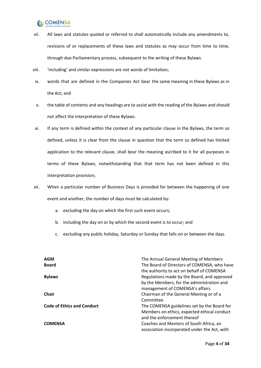

- vii. All laws and statutes quoted or referred to shall automatically include any amendments to, revisions of or replacements of these laws and statutes as may occur from time to time, through due Parliamentary process, subsequent to the writing of these Bylaws.
- viii. 'including' and similar expressions are not words of limitation;
- ix. words that are defined in the Companies Act bear the same meaning in these Bylaws as in the Act; and
- x. the table of contents and any headings are to assist with the reading of the Bylaws and should not affect the interpretation of these Bylaws.
- xi. If any term is defined within the context of any particular clause in the Bylaws, the term so defined, unless it is clear from the clause in question that the term so defined has limited application to the relevant clause, shall bear the meaning ascribed to it for all purposes in terms of these Bylaws, notwithstanding that that term has not been defined in this interpretation provision;
- xii. When a particular number of Business Days is provided for between the happening of one event and another, the number of days must be calculated by:
	- a. excluding the day on which the first such event occurs;
	- b. including the day on or by which the second event is to occur; and
	- c. excluding any public holiday, Saturday or Sunday that falls on or between the days.

| <b>AGM</b><br><b>Board</b>        | The Annual General Meeting of Members<br>The Board of Directors of COMENSA, who have<br>the authority to act on behalf of COMENSA |
|-----------------------------------|-----------------------------------------------------------------------------------------------------------------------------------|
| <b>Bylaws</b>                     | Regulations made by the Board, and approved<br>by the Members, for the administration and<br>management of COMENSA's affairs      |
| <b>Chair</b>                      | Chairman of the General Meeting or of a<br>Committee                                                                              |
| <b>Code of Ethics and Conduct</b> | The COMENSA guidelines set by the Board for<br>Members on ethics, expected ethical conduct<br>and the enforcement thereof         |
| <b>COMENSA</b>                    | Coaches and Mentors of South Africa, an<br>association incorporated under the Act, with                                           |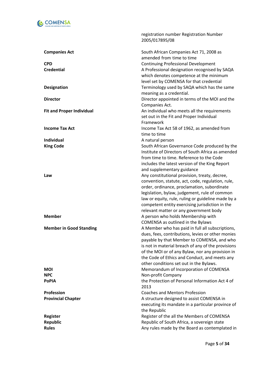

|                                  | registration number Registration Number<br>2005/017895/08                                         |
|----------------------------------|---------------------------------------------------------------------------------------------------|
| <b>Companies Act</b>             | South African Companies Act 71, 2008 as<br>amended from time to time                              |
| <b>CPD</b>                       | <b>Continuing Professional Development</b>                                                        |
| <b>Credential</b>                | A Professional designation recognised by SAQA                                                     |
|                                  | which denotes competence at the minimum                                                           |
|                                  | level set by COMENSA for that credential                                                          |
| <b>Designation</b>               | Terminology used by SAQA which has the same                                                       |
|                                  | meaning as a credential.                                                                          |
| <b>Director</b>                  | Director appointed in terms of the MOI and the                                                    |
|                                  | Companies Act.                                                                                    |
| <b>Fit and Proper Individual</b> | An individual who meets all the requirements                                                      |
|                                  | set out in the Fit and Proper Individual                                                          |
|                                  | Framework                                                                                         |
| <b>Income Tax Act</b>            | Income Tax Act 58 of 1962, as amended from                                                        |
|                                  | time to time                                                                                      |
| Individual                       | A natural person                                                                                  |
| <b>King Code</b>                 | South African Governance Code produced by the                                                     |
|                                  | Institute of Directors of South Africa as amended                                                 |
|                                  | from time to time. Reference to the Code                                                          |
|                                  | includes the latest version of the King Report                                                    |
|                                  | and supplementary guidance                                                                        |
| Law                              | Any constitutional provision, treaty, decree,                                                     |
|                                  | convention, statute, act, code, regulation, rule,                                                 |
|                                  | order, ordinance, proclamation, subordinate                                                       |
|                                  | legislation, bylaw, judgement, rule of common                                                     |
|                                  | law or equity, rule, ruling or guideline made by a                                                |
|                                  | competent entity exercising jurisdiction in the                                                   |
|                                  | relevant matter or any government body                                                            |
| <b>Member</b>                    | A person who holds Membership with                                                                |
|                                  | COMENSA as outlined in the Bylaws                                                                 |
| <b>Member in Good Standing</b>   | A Member who has paid in full all subscriptions,                                                  |
|                                  | dues, fees, contributions, levies or other monies                                                 |
|                                  | payable by that Member to COMENSA, and who                                                        |
|                                  | is not in material breach of any of the provisions                                                |
|                                  | of the MOI or of any Bylaw, nor any provision in<br>the Code of Ethics and Conduct, and meets any |
|                                  | other conditions set out in the Bylaws.                                                           |
| <b>MOI</b>                       | Memorandum of Incorporation of COMENSA                                                            |
| <b>NPC</b>                       | Non-profit Company                                                                                |
| <b>PoPIA</b>                     | the Protection of Personal Information Act 4 of                                                   |
|                                  | 2013                                                                                              |
| Profession                       | <b>Coaches and Mentors Profession</b>                                                             |
| <b>Provincial Chapter</b>        | A structure designed to assist COMENSA in                                                         |
|                                  | executing its mandate in a particular province of                                                 |
|                                  | the Republic                                                                                      |
| <b>Register</b>                  | Register of the all the Members of COMENSA                                                        |
| <b>Republic</b>                  | Republic of South Africa, a sovereign state                                                       |
| <b>Rules</b>                     | Any rules made by the Board as contemplated in                                                    |
|                                  |                                                                                                   |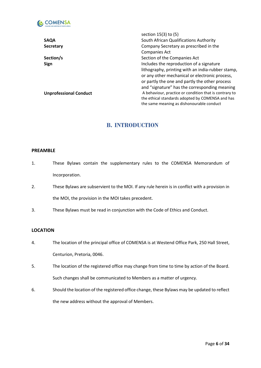

|                               | section 15(3) to (5)                                   |
|-------------------------------|--------------------------------------------------------|
| <b>SAQA</b>                   | South African Qualifications Authority                 |
| <b>Secretary</b>              | Company Secretary as prescribed in the                 |
|                               | <b>Companies Act</b>                                   |
| Section/s                     | Section of the Companies Act                           |
| Sign                          | Includes the reproduction of a signature               |
|                               | lithography, printing with an india-rubber stamp,      |
|                               | or any other mechanical or electronic process,         |
|                               | or partly the one and partly the other process         |
|                               | and "signature" has the corresponding meaning          |
| <b>Unprofessional Conduct</b> | A behaviour, practice or condition that is contrary to |
|                               | the ethical standards adopted by COMENSA and has       |
|                               | the same meaning as dishonourable conduct              |
|                               |                                                        |

### **B. INTRODUCTION**

### <span id="page-5-1"></span><span id="page-5-0"></span>**PREAMBLE**

- 1. These Bylaws contain the supplementary rules to the COMENSA Memorandum of Incorporation.
- 2. These Bylaws are subservient to the MOI. If any rule herein is in conflict with a provision in the MOI, the provision in the MOI takes precedent.
- 3. These Bylaws must be read in conjunction with the Code of Ethics and Conduct.

### <span id="page-5-2"></span>**LOCATION**

- 4. The location of the principal office of COMENSA is at Westend Office Park, 250 Hall Street, Centurion, Pretoria, 0046.
- 5. The location of the registered office may change from time to time by action of the Board. Such changes shall be communicated to Members as a matter of urgency.
- 6. Should the location of the registered office change, these Bylaws may be updated to reflect the new address without the approval of Members.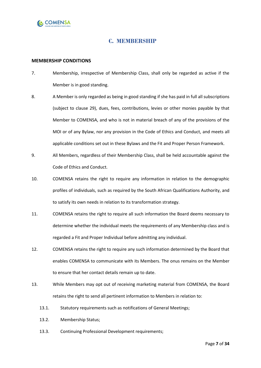<span id="page-6-0"></span>

### **C. MEMBERSHIP**

### <span id="page-6-1"></span>**MEMBERSHIP CONDITIONS**

- 7. Membership, irrespective of Membership Class, shall only be regarded as active if the Member is in good standing.
- 8. A Member is only regarded as being in good standing if she has paid in full all subscriptions (subject to clause [29\)](#page-11-1), dues, fees, contributions, levies or other monies payable by that Member to COMENSA, and who is not in material breach of any of the provisions of the MOI or of any Bylaw, nor any provision in the Code of Ethics and Conduct, and meets all applicable conditions set out in these Bylaws and the Fit and Proper Person Framework.
- 9. All Members, regardless of their Membership Class, shall be held accountable against the Code of Ethics and Conduct.
- 10. COMENSA retains the right to require any information in relation to the demographic profiles of individuals, such as required by the South African Qualifications Authority, and to satisfy its own needs in relation to its transformation strategy.
- 11. COMENSA retains the right to require all such information the Board deems necessary to determine whether the individual meets the requirements of any Membership class and is regarded a Fit and Proper Individual before admitting any individual.
- 12. COMENSA retains the right to require any such information determined by the Board that enables COMENSA to communicate with its Members. The onus remains on the Member to ensure that her contact details remain up to date.
- 13. While Members may opt out of receiving marketing material from COMENSA, the Board retains the right to send all pertinent information to Members in relation to:
	- 13.1. Statutory requirements such as notifications of General Meetings;
	- 13.2. Membership Status;
	- 13.3. Continuing Professional Development requirements;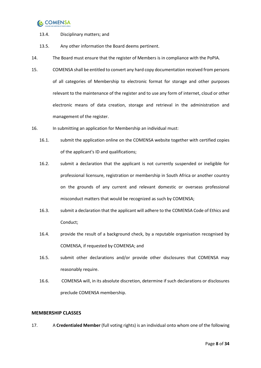## **C** COMENSA

- 13.4. Disciplinary matters; and
- 13.5. Any other information the Board deems pertinent.
- 14. The Board must ensure that the register of Members is in compliance with the PoPIA.
- 15. COMENSA shall be entitled to convert any hard copy documentation received from persons of all categories of Membership to electronic format for storage and other purposes relevant to the maintenance of the register and to use any form of internet, cloud or other electronic means of data creation, storage and retrieval in the administration and management of the register.
- <span id="page-7-1"></span>16. In submitting an application for Membership an individual must:
	- 16.1. submit the application online on the COMENSA website together with certified copies of the applicant's ID and qualifications;
	- 16.2. submit a declaration that the applicant is not currently suspended or ineligible for professional licensure, registration or membership in South Africa or another country on the grounds of any current and relevant domestic or overseas professional misconduct matters that would be recognized as such by COMENSA;
	- 16.3. submit a declaration that the applicant will adhere to the COMENSA Code of Ethics and Conduct;
	- 16.4. provide the result of a background check, by a reputable organisation recognised by COMENSA, if requested by COMENSA; and
	- 16.5. submit other declarations and/or provide other disclosures that COMENSA may reasonably require.
	- 16.6. COMENSA will, in its absolute discretion, determine if such declarations or disclosures preclude COMENSA membership.

### <span id="page-7-0"></span>**MEMBERSHIP CLASSES**

17. A **Credentialed Member** (full voting rights) is an individual onto whom one of the following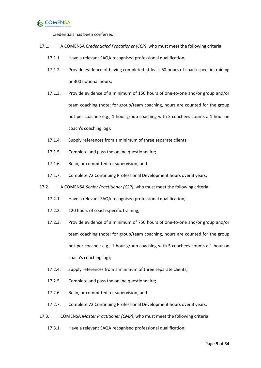

credentials has been conferred:

- 17.1. A COMENSA *Credentialed Practitioner (CCP)*, who must meet the following criteria:
	- 17.1.1. Have a relevant SAQA recognised professional qualification;
	- 17.1.2. Provide evidence of having completed at least 60 hours of coach-specific training or 300 notional hours;
	- 17.1.3. Provide evidence of a minimum of 150 hours of one-to-one and/or group and/or team coaching (note: for group/team coaching, hours are counted for the group not per coachee e.g., 1 hour group coaching with 5 coachees counts a 1 hour on coach's coaching log);
	- 17.1.4. Supply references from a minimum of three separate clients;
	- 17.1.5. Complete and pass the online questionnaire;
	- 17.1.6. Be in, or committed to, supervision; and
	- 17.1.7. Complete 72 Continuing Professional Development hours over 3 years.
- 17.2. A COMENSA *Senior Practitioner (CSP)*, who must meet the following criteria:
	- 17.2.1. Have a relevant SAQA recognised professional qualification;
	- 17.2.2. 120 hours of coach-specific training;
	- 17.2.3. Provide evidence of a minimum of 750 hours of one-to-one and/or group and/or team coaching (note: for group/team coaching, hours are counted for the group not per coachee e.g., 1 hour group coaching with 5 coachees counts a 1 hour on coach's coaching log);
	- 17.2.4. Supply references from a minimum of three separate clients;
	- 17.2.5. Complete and pass the online questionnaire;
	- 17.2.6. Be in, or committed to, supervision; and
	- 17.2.7. Complete 72 Continuing Professional Development hours over 3 years.
- 17.3. COMENSA *Master Practitioner (CMP)*, who must meet the following criteria:
	- 17.3.1. Have a relevant SAQA recognised professional qualification;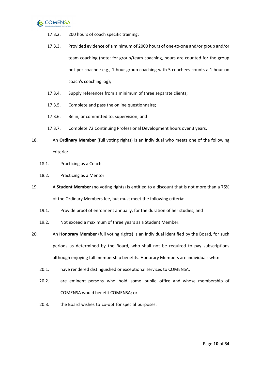

- 17.3.2. 200 hours of coach specific training;
- 17.3.3. Provided evidence of a minimum of 2000 hours of one-to-one and/or group and/or team coaching (note: for group/team coaching, hours are counted for the group not per coachee e.g., 1 hour group coaching with 5 coachees counts a 1 hour on coach's coaching log);
- 17.3.4. Supply references from a minimum of three separate clients;
- 17.3.5. Complete and pass the online questionnaire;
- 17.3.6. Be in, or committed to, supervision; and
- 17.3.7. Complete 72 Continuing Professional Development hours over 3 years.
- 18. An **Ordinary Member** (full voting rights) is an individual who meets one of the following criteria:
	- 18.1. Practicing as a Coach
	- 18.2. Practicing as a Mentor
- 19. A **Student Member** (no voting rights) is entitled to a discount that is not more than a 75% of the Ordinary Members fee, but must meet the following criteria:
	- 19.1. Provide proof of enrolment annually, for the duration of her studies; and
	- 19.2. Not exceed a maximum of three years as a Student Member.
- 20. An **Honorary Member** (full voting rights) is an individual identified by the Board, for such periods as determined by the Board, who shall not be required to pay subscriptions although enjoying full membership benefits. Honorary Members are individuals who:
	- 20.1. have rendered distinguished or exceptional services to COMENSA;
	- 20.2. are eminent persons who hold some public office and whose membership of COMENSA would benefit COMENSA; or
	- 20.3. the Board wishes to co-opt for special purposes.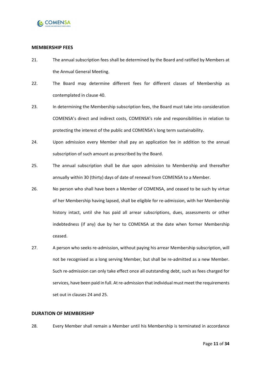

### <span id="page-10-0"></span>**MEMBERSHIP FEES**

- 21. The annual subscription fees shall be determined by the Board and ratified by Members at the Annual General Meeting.
- 22. The Board may determine different fees for different classes of Membership as contemplated in claus[e 40.](#page-12-2)
- 23. In determining the Membership subscription fees, the Board must take into consideration COMENSA's direct and indirect costs, COMENSA's role and responsibilities in relation to protecting the interest of the public and COMENSA's long term sustainability.
- <span id="page-10-2"></span>24. Upon admission every Member shall pay an application fee in addition to the annual subscription of such amount as prescribed by the Board.
- <span id="page-10-3"></span>25. The annual subscription shall be due upon admission to Membership and thereafter annually within 30 (thirty) days of date of renewal from COMENSA to a Member.
- <span id="page-10-4"></span>26. No person who shall have been a Member of COMENSA, and ceased to be such by virtue of her Membership having lapsed, shall be eligible for re-admission, with her Membership history intact, until she has paid all arrear subscriptions, dues, assessments or other indebtedness (if any) due by her to COMENSA at the date when former Membership ceased.
- 27. A person who seeks re-admission, without paying his arrear Membership subscription, will not be recognised as a long serving Member, but shall be re-admitted as a new Member. Such re-admission can only take effect once all outstanding debt, such as fees charged for services, have been paid in full. At re-admission that individual must meet the requirements set out in clause[s 24](#page-10-2) an[d 25.](#page-10-3)

### <span id="page-10-1"></span>**DURATION OF MEMBERSHIP**

28. Every Member shall remain a Member until his Membership is terminated in accordance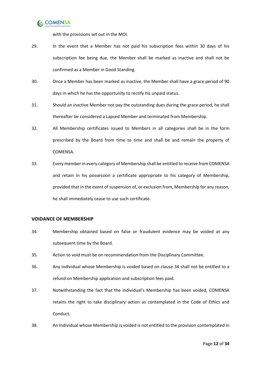

with the provisions set out in the MOI.

- <span id="page-11-1"></span>29. In the event that a Member has not paid his subscription fees within 30 days of his subscription fee being due, the Member shall be marked as inactive and shall not be confirmed as a Member in Good Standing.
- 30. Once a Member has been marked as inactive, the Member shall have a grace period of 90 days in which he has the opportunity to rectify his unpaid status.
- 31. Should an inactive Member not pay the outstanding dues during the grace period, he shall thereafter be considered a Lapsed Member and terminated from Membership.
- 32. All Membership certificates issued to Members in all categories shall be in the form prescribed by the Board from time to time and shall be and remain the property of COMENSA.
- 33. Every member in every category of Membership shall be entitled to receive from COMENSA and retain in his possession a certificate appropriate to his category of Membership, provided that in the event of suspension of, or exclusion from, Membership for any reason, he shall immediately cease to use such certificate.

### <span id="page-11-0"></span>**VOIDANCE OF MEMBERSHIP**

- <span id="page-11-2"></span>34. Membership obtained based on false or fraudulent evidence may be voided at any subsequent time by the Board.
- 35. Action to void must be on recommendation from the Disciplinary Committee.
- 36. Any individual whose Membership is voided based on clause [34](#page-11-2) shall not be entitled to a refund on Membership application and subscription fees paid.
- 37. Notwithstanding the fact that the individual's Membership has been voided, COMENSA retains the right to take disciplinary action as contemplated in the Code of Ethics and Conduct.
- 38. An Individual whose Membership is voided is not entitled to the provision contemplated in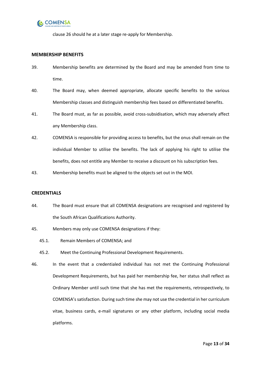

claus[e 26](#page-10-4) should he at a later stage re-apply for Membership.

### <span id="page-12-0"></span>**MEMBERSHIP BENEFITS**

- 39. Membership benefits are determined by the Board and may be amended from time to time.
- <span id="page-12-2"></span>40. The Board may, when deemed appropriate, allocate specific benefits to the various Membership classes and distinguish membership fees based on differentiated benefits.
- 41. The Board must, as far as possible, avoid cross-subsidisation, which may adversely affect any Membership class.
- 42. COMENSA is responsible for providing access to benefits, but the onus shall remain on the individual Member to utilise the benefits. The lack of applying his right to utilise the benefits, does not entitle any Member to receive a discount on his subscription fees.
- 43. Membership benefits must be aligned to the objects set out in the MOI.

### <span id="page-12-1"></span>**CREDENTIALS**

- 44. The Board must ensure that all COMENSA designations are recognised and registered by the South African Qualifications Authority.
- 45. Members may only use COMENSA designations if they:
	- 45.1. Remain Members of COMENSA; and
	- 45.2. Meet the Continuing Professional Development Requirements.
- 46. In the event that a credentialed individual has not met the Continuing Professional Development Requirements, but has paid her membership fee, her status shall reflect as Ordinary Member until such time that she has met the requirements, retrospectively, to COMENSA's satisfaction. During such time she may not use the credential in her curriculum vitae, business cards, e-mail signatures or any other platform, including social media platforms.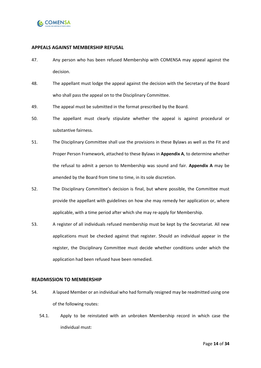

### <span id="page-13-0"></span>**APPEALS AGAINST MEMBERSHIP REFUSAL**

- 47. Any person who has been refused Membership with COMENSA may appeal against the decision.
- 48. The appellant must lodge the appeal against the decision with the Secretary of the Board who shall pass the appeal on to the Disciplinary Committee.
- 49. The appeal must be submitted in the format prescribed by the Board.
- 50. The appellant must clearly stipulate whether the appeal is against procedural or substantive fairness.
- 51. The Disciplinary Committee shall use the provisions in these Bylaws as well as the Fit and Proper Person Framework, attached to these Bylaws in **Appendix A**, to determine whether the refusal to admit a person to Membership was sound and fair. **Appendix A** may be amended by the Board from time to time, in its sole discretion.
- 52. The Disciplinary Committee's decision is final, but where possible, the Committee must provide the appellant with guidelines on how she may remedy her application or, where applicable, with a time period after which she may re-apply for Membership.
- 53. A register of all individuals refused membership must be kept by the Secretariat. All new applications must be checked against that register. Should an individual appear in the register, the Disciplinary Committee must decide whether conditions under which the application had been refused have been remedied.

### <span id="page-13-1"></span>**READMISSION TO MEMBERSHIP**

- 54. A lapsed Member or an individual who had formally resigned may be readmitted using one of the following routes:
	- 54.1. Apply to be reinstated with an unbroken Membership record in which case the individual must: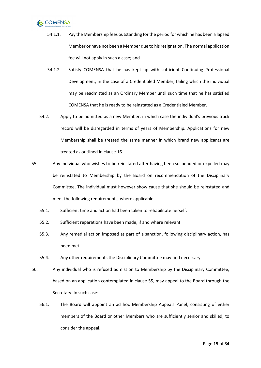## , COMENSA

- 54.1.1. Pay the Membership fees outstanding for the period for which he has been a lapsed Member or have not been a Member due to his resignation. The normal application fee will not apply in such a case; and
- 54.1.2. Satisfy COMENSA that he has kept up with sufficient Continuing Professional Development, in the case of a Credentialed Member, failing which the individual may be readmitted as an Ordinary Member until such time that he has satisfied COMENSA that he is ready to be reinstated as a Credentialed Member.
- 54.2. Apply to be admitted as a new Member, in which case the individual's previous track record will be disregarded in terms of years of Membership. Applications for new Membership shall be treated the same manner in which brand new applicants are treated as outlined in clause [16.](#page-7-1)
- <span id="page-14-0"></span>55. Any individual who wishes to be reinstated after having been suspended or expelled may be reinstated to Membership by the Board on recommendation of the Disciplinary Committee. The individual must however show cause that she should be reinstated and meet the following requirements, where applicable:
	- 55.1. Sufficient time and action had been taken to rehabilitate herself.
	- 55.2. Sufficient reparations have been made, if and where relevant.
	- 55.3. Any remedial action imposed as part of a sanction, following disciplinary action, has been met.
	- 55.4. Any other requirements the Disciplinary Committee may find necessary.
- 56. Any individual who is refused admission to Membership by the Disciplinary Committee, based on an application contemplated in clause [55,](#page-14-0) may appeal to the Board through the Secretary. In such case:
	- 56.1. The Board will appoint an ad hoc Membership Appeals Panel, consisting of either members of the Board or other Members who are sufficiently senior and skilled, to consider the appeal.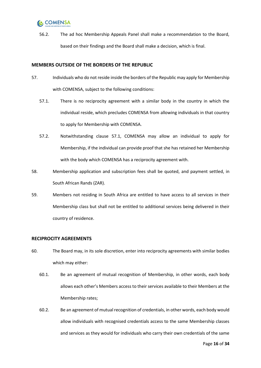## **C** COMENSA

56.2. The ad hoc Membership Appeals Panel shall make a recommendation to the Board, based on their findings and the Board shall make a decision, which is final.

### <span id="page-15-0"></span>**MEMBERS OUTSIDE OF THE BORDERS OF THE REPUBLIC**

- <span id="page-15-2"></span>57. Individuals who do not reside inside the borders of the Republic may apply for Membership with COMENSA, subject to the following conditions:
	- 57.1. There is no reciprocity agreement with a similar body in the country in which the individual reside, which precludes COMENSA from allowing individuals in that country to apply for Membership with COMENSA.
	- 57.2. Notwithstanding clause [57.1,](#page-15-2) COMENSA may allow an individual to apply for Membership, if the individual can provide proof that she has retained her Membership with the body which COMENSA has a reciprocity agreement with.
- 58. Membership application and subscription fees shall be quoted, and payment settled, in South African Rands (ZAR).
- 59. Members not residing in South Africa are entitled to have access to all services in their Membership class but shall not be entitled to additional services being delivered in their country of residence.

### <span id="page-15-1"></span>**RECIPROCITY AGREEMENTS**

- 60. The Board may, in its sole discretion, enter into reciprocity agreements with similar bodies which may either:
	- 60.1. Be an agreement of mutual recognition of Membership, in other words, each body allows each other's Members access to their services available to their Members at the Membership rates;
	- 60.2. Be an agreement of mutual recognition of credentials, in other words, each body would allow individuals with recognised credentials access to the same Membership classes and services as they would for individuals who carry their own credentials of the same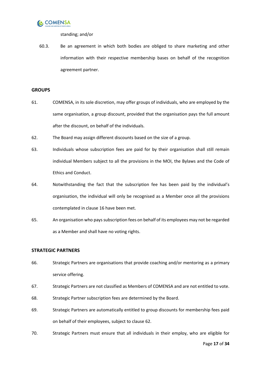

standing; and/or

60.3. Be an agreement in which both bodies are obliged to share marketing and other information with their respective membership bases on behalf of the recognition agreement partner.

### <span id="page-16-0"></span>**GROUPS**

- 61. COMENSA, in its sole discretion, may offer groups of individuals, who are employed by the same organisation, a group discount, provided that the organisation pays the full amount after the discount, on behalf of the individuals.
- <span id="page-16-2"></span>62. The Board may assign different discounts based on the size of a group.
- 63. Individuals whose subscription fees are paid for by their organisation shall still remain individual Members subject to all the provisions in the MOI, the Bylaws and the Code of Ethics and Conduct.
- 64. Notwithstanding the fact that the subscription fee has been paid by the individual's organisation, the individual will only be recognised as a Member once all the provisions contemplated in claus[e 16](#page-7-1) have been met.
- 65. An organisation who pays subscription fees on behalf of its employees may not be regarded as a Member and shall have no voting rights.

### <span id="page-16-1"></span>**STRATEGIC PARTNERS**

- 66. Strategic Partners are organisations that provide coaching and/or mentoring as a primary service offering.
- 67. Strategic Partners are not classified as Members of COMENSA and are not entitled to vote.
- 68. Strategic Partner subscription fees are determined by the Board.
- 69. Strategic Partners are automatically entitled to group discounts for membership fees paid on behalf of their employees, subject to claus[e 62.](#page-16-2)
- 70. Strategic Partners must ensure that all individuals in their employ, who are eligible for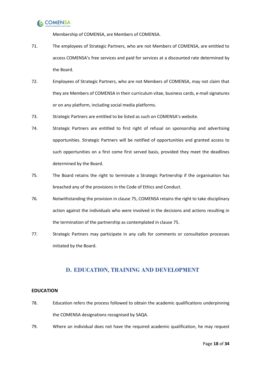

Membership of COMENSA, are Members of COMENSA.

- 71. The employees of Strategic Partners, who are not Members of COMENSA, are entitled to access COMENSA's free services and paid for services at a discounted rate determined by the Board.
- 72. Employees of Strategic Partners, who are not Members of COMENSA, may not claim that they are Members of COMENSA in their curriculum vitae, business cards, e-mail signatures or on any platform, including social media platforms.
- 73. Strategic Partners are entitled to be listed as such on COMENSA's website.
- 74. Strategic Partners are entitled to first right of refusal on sponsorship and advertising opportunities. Strategic Partners will be notified of opportunities and granted access to such opportunities on a first come first served basis, provided they meet the deadlines determined by the Board.
- <span id="page-17-2"></span>75. The Board retains the right to terminate a Strategic Partnership if the organisation has breached any of the provisions in the Code of Ethics and Conduct.
- 76. Notwithstanding the provision in claus[e 75,](#page-17-2) COMENSA retains the right to take disciplinary action against the individuals who were involved in the decisions and actions resulting in the termination of the partnership as contemplated in claus[e 75.](#page-17-2)
- 77. Strategic Partners may participate in any calls for comments or consultation processes initiated by the Board.

### **D. EDUCATION, TRAINING AND DEVELOPMENT**

### <span id="page-17-1"></span><span id="page-17-0"></span>**EDUCATION**

- 78. Education refers the process followed to obtain the academic qualifications underpinning the COMENSA designations recognised by SAQA.
- 79. Where an individual does not have the required academic qualification, he may request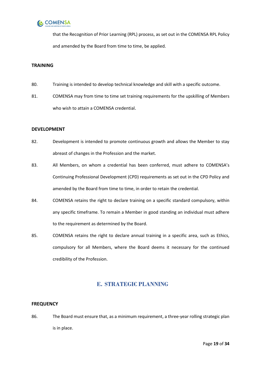

that the Recognition of Prior Learning (RPL) process, as set out in the COMENSA RPL Policy and amended by the Board from time to time, be applied.

### <span id="page-18-0"></span>**TRAINING**

- 80. Training is intended to develop technical knowledge and skill with a specific outcome.
- 81. COMENSA may from time to time set training requirements for the upskilling of Members who wish to attain a COMENSA credential.

### <span id="page-18-1"></span>**DEVELOPMENT**

- 82. Development is intended to promote continuous growth and allows the Member to stay abreast of changes in the Profession and the market.
- 83. All Members, on whom a credential has been conferred, must adhere to COMENSA's Continuing Professional Development (CPD) requirements as set out in the CPD Policy and amended by the Board from time to time, in order to retain the credential.
- 84. COMENSA retains the right to declare training on a specific standard compulsory, within any specific timeframe. To remain a Member in good standing an individual must adhere to the requirement as determined by the Board.
- 85. COMENSA retains the right to declare annual training in a specific area, such as Ethics, compulsory for all Members, where the Board deems it necessary for the continued credibility of the Profession.

### **E. STRATEGIC PLANNING**

### <span id="page-18-3"></span><span id="page-18-2"></span>**FREQUENCY**

86. The Board must ensure that, as a minimum requirement, a three-year rolling strategic plan is in place.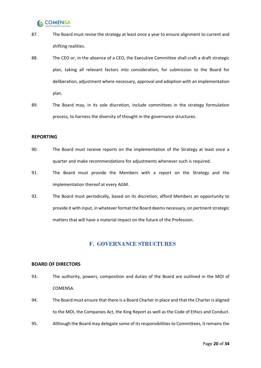# **C** COMENSA

- 87. The Board must revise the strategy at least once a year to ensure alignment to current and shifting realities.
- 88. The CEO or, in the absence of a CEO, the Executive Committee shall craft a draft strategic plan, taking all relevant factors into consideration, for submission to the Board for deliberation, adjustment where necessary, approval and adoption with an implementation plan.
- 89. The Board may, in its sole discretion, include committees in the strategy formulation process, to harness the diversity of thought in the governance structures.

### <span id="page-19-0"></span>**REPORTING**

- 90. The Board must receive reports on the implementation of the Strategy at least once a quarter and make recommendations for adjustments whenever such is required.
- 91. The Board must provide the Members with a report on the Strategy and the implementation thereof at every AGM.
- 92. The Board must periodically, based on its discretion, afford Members an opportunity to provide it with input, in whatever format the Board deems necessary, on pertinent strategic matters that will have a material impact on the future of the Profession.

### **F. GOVERNANCE STRUCTURES**

### <span id="page-19-2"></span><span id="page-19-1"></span>**BOARD OF DIRECTORS**

- 93. The authority, powers, composition and duties of the Board are outlined in the MOI of COMENSA.
- 94. The Board must ensure that there is a Board Charter in place and that the Charter is aligned to the MOI, the Companies Act, the King Report as well as the Code of Ethics and Conduct.
- 95. Although the Board may delegate some of its responsibilities to Committees, it remains the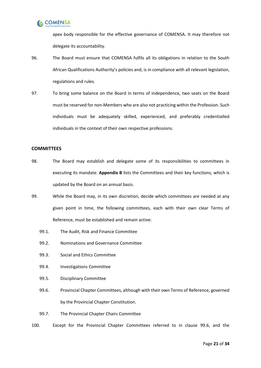

apex body responsible for the effective governance of COMENSA. It may therefore not delegate its accountability.

- 96. The Board must ensure that COMENSA fulfils all its obligations in relation to the South African Qualifications Authority's policies and, is in compliance with all relevant legislation, regulations and rules.
- 97. To bring some balance on the Board in terms of independence, two seats on the Board must be reserved for non-Members who are also not practicing within the Profession. Such individuals must be adequately skilled, experienced, and preferably credentialled individuals in the context of their own respective professions.

### <span id="page-20-0"></span>**COMMITTEES**

- 98. The Board may establish and delegate some of its responsibilities to committees in executing its mandate. **Appendix B** lists the Committees and their key functions, which is updated by the Board on an annual basis.
- <span id="page-20-3"></span><span id="page-20-2"></span>99. While the Board may, in its own discretion, decide which committees are needed at any given point in time, the following committees, each with their own clear Terms of Reference, must be established and remain active:
	- 99.1. The Audit, Risk and Finance Committee
	- 99.2. Nominations and Governance Committee
	- 99.3. Social and Ethics Committee
	- 99.4. Investigations Committee
	- 99.5. Disciplinary Committee
	- 99.6. Provincial Chapter Committees, although with their own Terms of Reference, governed by the Provincial Chapter Constitution.
	- 99.7. The Provincial Chapter Chairs Committee
- <span id="page-20-1"></span>100. Except for the Provincial Chapter Committees referred to in clause [99.6,](#page-20-1) and the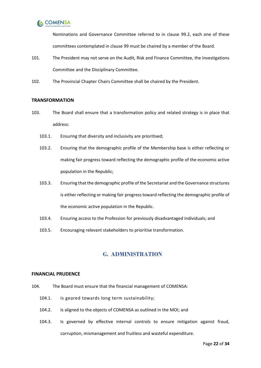

Nominations and Governance Committee referred to in clause [99.2,](#page-20-2) each one of these committees contemplated in clause [99](#page-20-3) must be chaired by a member of the Board.

- 101. The President may not serve on the Audit, Risk and Finance Committee, the Investigations Committee and the Disciplinary Committee.
- 102. The Provincial Chapter Chairs Committee shall be chaired by the President.

### <span id="page-21-0"></span>**TRANSFORMATION**

- 103. The Board shall ensure that a transformation policy and related strategy is in place that address:
	- 103.1. Ensuring that diversity and inclusivity are prioritised;
	- 103.2. Ensuring that the demographic profile of the Membership base is either reflecting or making fair progress toward reflecting the demographic profile of the economic active population in the Republic;
	- 103.3. Ensuring that the demographic profile of the Secretariat and the Governance structures is either reflecting or making fair progress toward reflecting the demographic profile of the economic active population in the Republic.
	- 103.4. Ensuring access to the Profession for previously disadvantaged individuals; and
	- 103.5. Encouraging relevant stakeholders to prioritise transformation.

### **G. ADMINISTRATION**

### <span id="page-21-2"></span><span id="page-21-1"></span>**FINANCIAL PRUDENCE**

- 104. The Board must ensure that the financial management of COMENSA:
	- 104.1. Is geared towards long term sustainability;
	- 104.2. Is aligned to the objects of COMENSA as outlined in the MOI; and
	- 104.3. Is governed by effective internal controls to ensure mitigation against fraud, corruption, mismanagement and fruitless and wasteful expenditure.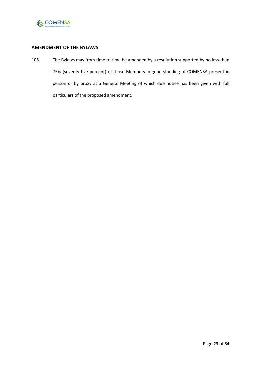

### <span id="page-22-0"></span>**AMENDMENT OF THE BYLAWS**

105. The Bylaws may from time to time be amended by a resolution supported by no less than 75% (seventy five percent) of those Members in good standing of COMENSA present in person or by proxy at a General Meeting of which due notice has been given with full particulars of the proposed amendment.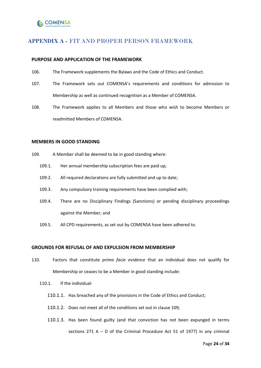### <span id="page-23-0"></span>**APPENDIX A -** FIT AND PROPER PERSON FRAMEWORK

### <span id="page-23-1"></span>**PURPOSE AND APPLICATION OF THE FRAMEWORK**

- 106. The Framework supplements the Bylaws and the Code of Ethics and Conduct.
- 107. The Framework sets out COMENSA's requirements and conditions for admission to Membership as well as continued recognition as a Member of COMENSA.
- 108. The Framework applies to all Members and those who wish to become Members or readmitted Members of COMENSA.

### **MEMBERS IN GOOD STANDING**

- <span id="page-23-2"></span>109. A Member shall be deemed to be in good standing where:
	- 109.1. Her annual membership subscription fees are paid up;
	- 109.2. All required declarations are fully submitted and up to date;
	- 109.3. Any compulsory training requirements have been complied with;
	- 109.4. There are no Disciplinary Findings (Sanctions) or pending disciplinary proceedings against the Member; and
	- 109.5. All CPD requirements, as set out by COMENSA have been adhered to.

### **GROUNDS FOR REFUSAL OF AND EXPULSION FROM MEMBERSHIP**

- 110. Factors that constitute *prima facie evidence* that an individual does not qualify for Membership or ceases to be a Member in good standing include:
	- 110.1. If the individual-
		- 110.1.1. Has breached any of the provisions in the Code of Ethics and Conduct;
		- 110.1.2. Does not meet all of the conditions set out in clause [109;](#page-23-2)
		- 110.1.3. Has been found guilty (and that conviction has not been expunged in terms sections 271 A – D of the Criminal Procedure Act 51 of 1977) in any criminal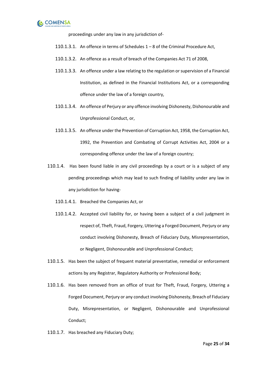

proceedings under any law in any jurisdiction of-

- 110.1.3.1. An offence in terms of Schedules 1 8 of the Criminal Procedure Act,
- 110.1.3.2. An offence as a result of breach of the Companies Act 71 of 2008,
- 110.1.3.3. An offence under a law relating to the regulation or supervision of a Financial Institution, as defined in the Financial Institutions Act, or a corresponding offence under the law of a foreign country,
- 110.1.3.4. An offence of Perjury or any offence involving Dishonesty, Dishonourable and Unprofessional Conduct, or,
- 110.1.3.5. An offence under the Prevention of Corruption Act, 1958, the Corruption Act, 1992, the Prevention and Combating of Corrupt Activities Act, 2004 or a corresponding offence under the law of a foreign country;
- 110.1.4. Has been found liable in any civil proceedings by a court or is a subject of any pending proceedings which may lead to such finding of liability under any law in any jurisdiction for having-
	- 110.1.4.1. Breached the Companies Act, or
	- 110.1.4.2. Accepted civil liability for, or having been a subject of a civil judgment in respect of, Theft, Fraud, Forgery, Uttering a Forged Document, Perjury or any conduct involving Dishonesty, Breach of Fiduciary Duty, Misrepresentation, or Negligent, Dishonourable and Unprofessional Conduct;
- 110.1.5. Has been the subject of frequent material preventative, remedial or enforcement actions by any Registrar, Regulatory Authority or Professional Body;
- 110.1.6. Has been removed from an office of trust for Theft, Fraud, Forgery, Uttering a Forged Document, Perjury or any conduct involving Dishonesty, Breach of Fiduciary Duty, Misrepresentation, or Negligent, Dishonourable and Unprofessional Conduct;
- 110.1.7. Has breached any Fiduciary Duty;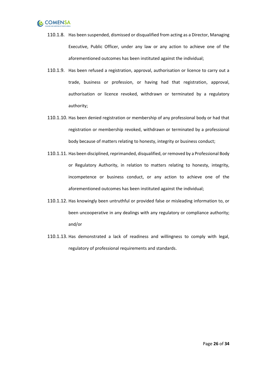

- 110.1.8. Has been suspended, dismissed or disqualified from acting as a Director, Managing Executive, Public Officer, under any law or any action to achieve one of the aforementioned outcomes has been instituted against the individual;
- 110.1.9. Has been refused a registration, approval, authorisation or licence to carry out a trade, business or profession, or having had that registration, approval, authorisation or licence revoked, withdrawn or terminated by a regulatory authority;
- 110.1.10. Has been denied registration or membership of any professional body or had that registration or membership revoked, withdrawn or terminated by a professional body because of matters relating to honesty, integrity or business conduct;
- 110.1.11. Has been disciplined, reprimanded, disqualified, or removed by a Professional Body or Regulatory Authority, in relation to matters relating to honesty, integrity, incompetence or business conduct, or any action to achieve one of the aforementioned outcomes has been instituted against the individual;
- 110.1.12. Has knowingly been untruthful or provided false or misleading information to, or been uncooperative in any dealings with any regulatory or compliance authority; and/or
- 110.1.13. Has demonstrated a lack of readiness and willingness to comply with legal, regulatory of professional requirements and standards.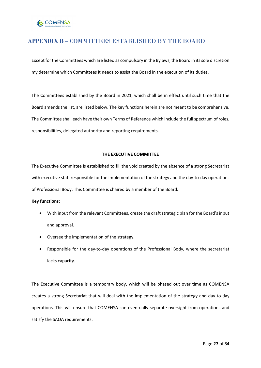### <span id="page-26-0"></span>**APPENDIX B –** COMMITTEES ESTABLISHED BY THE BOARD

Except for the Committees which are listed as compulsory in the Bylaws, the Board in its sole discretion my determine which Committees it needs to assist the Board in the execution of its duties.

The Committees established by the Board in 2021, which shall be in effect until such time that the Board amends the list, are listed below. The key functions herein are not meant to be comprehensive. The Committee shall each have their own Terms of Reference which include the full spectrum of roles, responsibilities, delegated authority and reporting requirements.

### **THE EXECUTIVE COMMITTEE**

The Executive Committee is established to fill the void created by the absence of a strong Secretariat with executive staff responsible for the implementation of the strategy and the day-to-day operations of Professional Body. This Committee is chaired by a member of the Board.

#### **Key functions:**

- With input from the relevant Committees, create the draft strategic plan for the Board's input and approval.
- Oversee the implementation of the strategy.
- Responsible for the day-to-day operations of the Professional Body, where the secretariat lacks capacity.

The Executive Committee is a temporary body, which will be phased out over time as COMENSA creates a strong Secretariat that will deal with the implementation of the strategy and day-to-day operations. This will ensure that COMENSA can eventually separate oversight from operations and satisfy the SAQA requirements.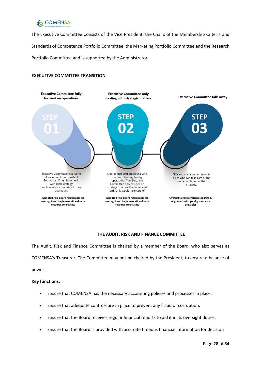

The Executive Committee Consists of the Vice President, the Chairs of the Membership Criteria and Standards of Competence Portfolio Committee, the Marketing Portfolio Committee and the Research Portfolio Committee and is supported by the Administrator.

### **EXECUTIVE COMMITTEE TRANSITION**



### **THE AUDIT, RISK AND FINANCE COMMITTEE**

The Audit, Risk and Finance Committee is chaired by a member of the Board, who also serves as COMENSA's Treasurer. The Committee may not be chaired by the President, to ensure a balance of power.

- Ensure that COMENSA has the necessary accounting policies and processes in place.
- Ensure that adequate controls are in place to prevent any fraud or corruption.
- Ensure that the Board receives regular financial reports to aid it in its oversight duties.
- Ensure that the Board is provided with accurate timeous financial information for decision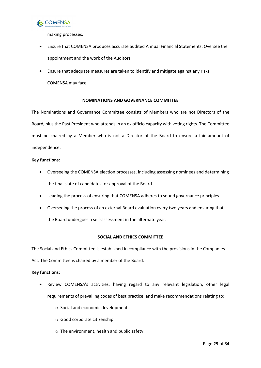

making processes.

- Ensure that COMENSA produces accurate audited Annual Financial Statements. Oversee the appointment and the work of the Auditors.
- <span id="page-28-0"></span>• Ensure that adequate measures are taken to identify and mitigate against any risks COMENSA may face.

### **NOMINATIONS AND GOVERNANCE COMMITTEE**

The Nominations and Governance Committee consists of Members who are not Directors of the Board, plus the Past President who attends in an ex officio capacity with voting rights. The Committee must be chaired by a Member who is not a Director of the Board to ensure a fair amount of independence.

### <span id="page-28-1"></span>**Key functions:**

- Overseeing the COMENSA election processes, including assessing nominees and determining the final slate of candidates for approval of the Board.
- Leading the process of ensuring that COMENSA adheres to sound governance principles.
- Overseeing the process of an external Board evaluation every two years and ensuring that the Board undergoes a self-assessment in the alternate year.

### **SOCIAL AND ETHICS COMMITTEE**

The Social and Ethics Committee is established in compliance with the provisions in the Companies

Act. The Committee is chaired by a member of the Board.

- Review COMENSA's activities, having regard to any relevant legislation, other legal requirements of prevailing codes of best practice, and make recommendations relating to:
	- o Social and economic development.
	- o Good corporate citizenship.
	- o The environment, health and public safety.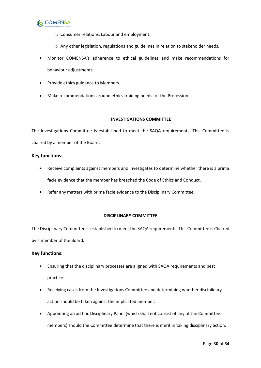

- o Consumer relations. Labour and employment.
- o Any other legislation, regulations and guidelines in relation to stakeholder needs.
- Monitor COMENSA's adherence to ethical guidelines and make recommendations for behaviour adjustments.
- <span id="page-29-0"></span>• Provide ethics guidance to Members.
- <span id="page-29-1"></span>• Make recommendations around ethics training needs for the Profession.

### **INVESTIGATIONS COMMITTEE**

The Investigations Committee is established to meet the SAQA requirements. This Committee is chaired by a member of the Board.

### <span id="page-29-2"></span>**Key functions:**

- Receive complaints against members and investigates to determine whether there is a prima facie evidence that the member has breached the Code of Ethics and Conduct.
- Refer any matters with prima facie evidence to the Disciplinary Committee.

### **DISCIPLINARY COMMITTEE**

The Disciplinary Committee is established to meet the SAQA requirements. This Committee is Chaired by a member of the Board.

- <span id="page-29-3"></span>• Ensuring that the disciplinary processes are aligned with SAQA requirements and best practice.
- Receiving cases from the Investigations Committee and determining whether disciplinary action should be taken against the implicated member.
- Appointing an ad hoc Disciplinary Panel (which shall not consist of any of the Committee members) should the Committee determine that there is merit in taking disciplinary action.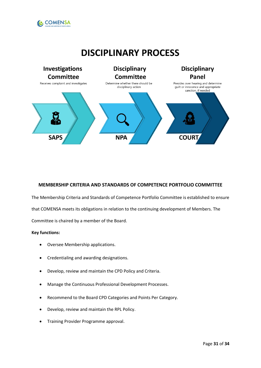

# **DISCIPLINARY PROCESS**



### <span id="page-30-0"></span>**MEMBERSHIP CRITERIA AND STANDARDS OF COMPETENCE PORTFOLIO COMMITTEE**

The Membership Criteria and Standards of Competence Portfolio Committee is established to ensure that COMENSA meets its obligations in relation to the continuing development of Members. The

Committee is chaired by a member of the Board.

- Oversee Membership applications.
- Credentialing and awarding designations.
- Develop, review and maintain the CPD Policy and Criteria.
- Manage the Continuous Professional Development Processes.
- Recommend to the Board CPD Categories and Points Per Category.
- Develop, review and maintain the RPL Policy.
- Training Provider Programme approval.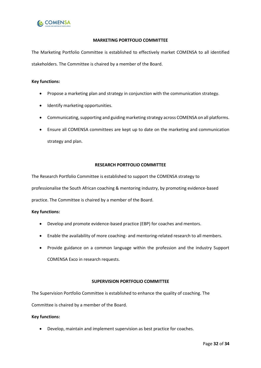

### **MARKETING PORTFOLIO COMMITTEE**

The Marketing Portfolio Committee is established to effectively market COMENSA to all identified stakeholders. The Committee is chaired by a member of the Board.

### **Key functions:**

- Propose a marketing plan and strategy in conjunction with the communication strategy.
- Identify marketing opportunities.
- Communicating, supporting and guiding marketing strategy across COMENSA on all platforms.
- Ensure all COMENSA committees are kept up to date on the marketing and communication strategy and plan.

### **RESEARCH PORTFOLIO COMMITTEE**

The Research Portfolio Committee is established to support the COMENSA strategy to

professionalise the South African coaching & mentoring industry, by promoting evidence-based

practice. The Committee is chaired by a member of the Board.

#### **Key functions:**

- Develop and promote evidence-based practice (EBP) for coaches and mentors.
- Enable the availability of more coaching- and mentoring-related research to all members.
- Provide guidance on a common language within the profession and the industry Support COMENSA Exco in research requests.

### **SUPERVISION PORTFOLIO COMMITTEE**

The Supervision Portfolio Committee is established to enhance the quality of coaching. The Committee is chaired by a member of the Board.

#### **Key functions:**

• Develop, maintain and implement supervision as best practice for coaches.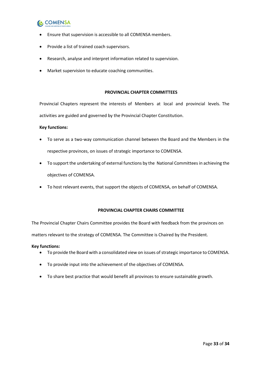# **C** COMENSA

- Ensure that supervision is accessible to all COMENSA members.
- Provide a list of trained coach supervisors.
- Research, analyse and interpret information related to supervision.
- Market supervision to educate coaching communities.

### **PROVINCIAL CHAPTER COMMITTEES**

Provincial Chapters represent the interests of Members at local and provincial levels. The activities are guided and governed by the Provincial Chapter Constitution.

### **Key functions:**

- To serve as a two-way communication channel between the Board and the Members in the respective provinces, on issues of strategic importance to COMENSA.
- To support the undertaking of external functions by the National Committees in achieving the objectives of COMENSA.
- To host relevant events, that support the objects of COMENSA, on behalf of COMENSA.

### **PROVINCIAL CHAPTER CHAIRS COMMITTEE**

<span id="page-32-0"></span>The Provincial Chapter Chairs Committee provides the Board with feedback from the provinces on

matters relevant to the strategy of COMENSA. The Committee is Chaired by the President.

- To provide the Board with a consolidated view on issues of strategic importance to COMENSA.
- To provide input into the achievement of the objectives of COMENSA.
- To share best practice that would benefit all provinces to ensure sustainable growth.